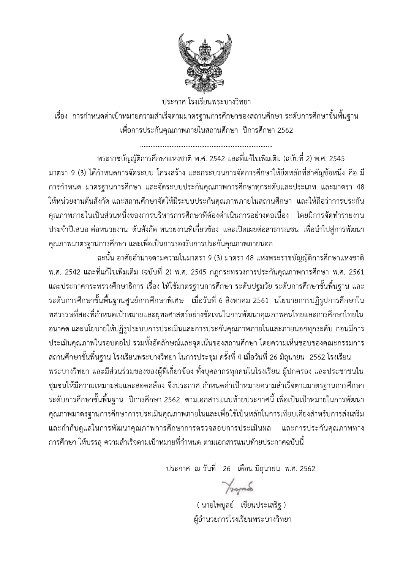

ประกาศ โรงเรียนพระบางวิทยา เรื่อง การกำหนดค่าเป้าหมายความสำเร็จตามมาตรฐานการศึกษาของสถานศึกษา ระดับการศึกษาขั้นพื้นฐาน เพื่อการประกันคุณภาพภายในสถานศึกษา ปีการศึกษา 2562

ี พระราชบัญญัติการศึกษาแห่งชาติ พ.ศ. 2542 และที่แก้ไขเพิ่มเติม (ฉบับที่ 2) พ.ศ. 2545 ้มาตรา 9 (3) ได้กำหนดการจัดระบบ โครงสร้าง และกระบวนการจัดการศึกษาให้ยึดหลักที่สำคัญข้อหนึ่ง คือ มี การกำหนด มาตรฐานการศึกษา และจัดระบบประกันคุณภาพการศึกษาทุกระดับและประเภท และมาตรา 48 ให้หน่วยงานต้นสังกัด และสถานศึกษาจัดให้มีระบบประกันคุณภาพภายในสถานศึกษา และให้ถือว่าการประกัน คุณภาพภายในเป็นส่วนหนึ่งของการบริหารการศึกษาที่ต้องดำเนินการอย่างต่อเนื่อง โดยมีการจัดทำรายงาน ประจำปีเสนอ ต่อหน่วยงาน ต้นสังกัด หน่วยงานที่เกี่ยวข้อง และเปิดเผยต่อสาธารณชน เพื่อนำไปสู่การพัฒนา คุณภาพมาตรฐานการศึกษา และเพื่อเป็นการรองรับการประกันคุณภาพภายนอก

้ฉะนั้น อาศัยอำนาจตามความในมาตรา 9 (3) มาตรา 48 แห่งพระราชบัญญัติการศึกษาแห่งชาติ ี พ.ศ. 2542 และที่แก้ไขเพิ่มเติม (ฉบับที่ 2) พ.ศ. 2545 กฎกระทรวงการประกันคุณภาพการศึกษา พ.ศ. 2561 ่ และประกาศกระทรวงศึกษาธิการ เรื่อง ให้ใช้มาตรฐานการศึกษา ระดับปฐมวัย ระดับการศึกษาขั้นพื้นฐาน และ ี ระดับการศึกษาขั้นพื้นฐานศูนย์การศึกษาพิเศษ เมื่อวันที่ 6 สิงหาคม 2561 นโยบายการปฏิรูปการศึกษาใน ิทศวรรษที่สองที่กำหนดเป้าหมายและยุทธศาสตร์อย่างชัดเจนในการพัฒนาคุณภาพคนไทยและการศึกษาไทยใน ้อนาคต และนโยบายให้ปฏิรูประบบการประเมินและการประกันคุณภาพภายในและภายนอกทุกระดับ ก่อนมีการ ประเมินคุณภาพในรอบต่อไป รวมทั้งอัตลักษณ์และจุดเน้นของสถานศึกษา โดยความเห็นชอบของคณะกรรมการ

ิสถานศึกษาขั้นพื้นฐาน โรงเรียนพระบางวิทยา ในการประชุม ครั้งที่ 4 เมื่อวันที่ 26 มิถุนายน 2562 โรงเรียน ิพระบางวิทยา และมีส่วนร่วมของของผู้ที่เกี่ยวข้อง ทั้งบุคลากรทุกคนในโรงเรียน ผู้ปกครอง และประชาชนใน ชุมชนให้มีความเหมาะสมและสอดคล้อง จึงประกาศ กำหนดค่าเป้าหมายความสำเร็จตามมาตรฐานการศึกษา ้ระดับการศึกษาขั้นพื้นฐาน ปีการศึกษา 2562 ตามเอกสารแนบท้ายประกาศนี้ เพื่อเป็นเป้าหมายในการพัฒนา คุณภาพมาตรฐานการศึกษาการประเมินคุณภาพภายในและเพื่อใช้เป็นหลักในการเทียบเคียงสำหรับการส่งเสริม และกำกับดูแลในการพัฒนาคุณภาพการศึกษาการตรวจสอบการประเมินผล และการประกันคุณภาพทาง ิการศึกษา ให้บรรลุ ความสำเร็จตามเป้าหมายที่กำหนด ตามเอกสารแนบท้ายประกาศฉบับนี้

ประกาศ ณ วันที่ 26 เดือน มิถุนายน พ.ศ. 2562

 $\gamma$ 

( นายไพบูลย์ เขียนประเสริฐ ) ผู้อำนวยการโรงเรียนพระบางวิทยา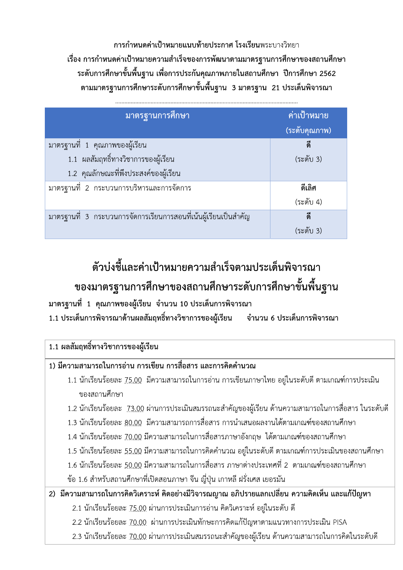การกำหนดค่าเป้าหมายแนบท้ายประกาศ โรงเรียนพระบางวิทยา เรื่อง การกำหนดค่าเป้าหมายความสำเร็จของการพัฒนาตามมาตรฐานการศึกษาของสถานศึกษา ี ระดับการศึกษาขั้นพื้นฐาน เพื่อการประกันคุณภาพภายในสถานศึกษา ปีการศึกษา 2562 ตามมาตรฐานการศึกษาระดับการศึกษาขั้นพื้นฐาน 3 มาตรฐาน 21 ประเด็นพิจารณา

| มาตรฐานการศึกษา                                                 | ่ีค่าเป้าหมาย<br>(ระดับคุณภาพ) |
|-----------------------------------------------------------------|--------------------------------|
| มาตรฐานที่ 1 คุณภาพของผู้เรียน                                  | ดี                             |
| 1.1 ผลสัมฤทธิ์ทางวิชาการของผู้เรียน                             | (ระดับ 3)                      |
| 1.2 คุณลักษณะที่พึงประสงค์ของผู้เรียน                           |                                |
| มาตรฐานที่ 2 กระบวนการบริหารและการจัดการ                        | ดีเลิศ                         |
|                                                                 | (ระดับ 4)                      |
| มาตรฐานที่ 3 กระบวนการจัดการเรียนการสอนที่เน้นผู้เรียนเป็นสำคัญ | ดี                             |
|                                                                 | (ระดับ 3)                      |

# ตัวบ่งชี้และค่าเป้าหมายความสำเร็จตามประเด็นพิจารณา ของมาตรฐานการศึกษาของสถานศึกษาระดับการศึกษาขั้นพื้นฐาน

มาตรฐานที่ 1 คุณภาพของผู้เรียน จำนวน 10 ประเด็นการพิจารณา 1.1 ประเด็นการพิจารณาด้านผลสัมฤทธิ์ทางวิชาการของผู้เรียน ้ จำนวน 6 ประเด็นการพิจารณา

| 1.1 ผลสัมฤทธิ์ทางวิชาการของผู้เรียน                                                                        |  |  |  |
|------------------------------------------------------------------------------------------------------------|--|--|--|
| 1) มีความสามารถในการอ่าน การเขียน การสื่อสาร และการคิดคำนวณ                                                |  |  |  |
| 1.1 นักเรียนร้อยละ <u>75.00</u> มีความสามารถในการอ่าน การเขียนภาษาไทย อยู่ในระดับดี ตามเกณฑ์การประเมิน     |  |  |  |
| ของสถานศึกษา                                                                                               |  |  |  |
| 1.2 นักเรียนร้อยละ <u>73.00</u> ผ่านการประเมินสมรรถนะสำคัญของผู้เรียน ด้านความสามารถในการสื่อสาร ในระดับดี |  |  |  |
| 1.3 นักเรียนร้อยละ <u>80.00</u> มีความสามารถการสื่อสาร การนำเสนอผลงานได้ตามเกณฑ์ของสถานศึกษา               |  |  |  |
| 1.4 นักเรียนร้อยละ <u>70.00</u> มีความสามารถในการสื่อสารภาษาอังกฤษ ได้ตามเกณฑ์ของสถานศึกษา                 |  |  |  |
| 1.5 นักเรียนร้อยละ <u>55.00</u> มีความสามารถในการคิดคำนวณ อยู่ในระดับดี ตามเกณฑ์การประเมินของสถานศึกษา     |  |  |  |
| .1.6 นักเรียนร้อยละ <u>50.00</u> มีความสามารถในการสื่อสาร ภาษาต่างประเทศที่ 2  ตามเกณฑ์ของสถานศึกษา        |  |  |  |
| ู ข้อ 1.6 สำหรับสถานศึกษาที่เปิดสอนภาษา จีน ญี่ปุ่น เกาหลี ฝรั่งเศส เยอรมัน                                |  |  |  |
| 2) มีความสามารถในการคิดวิเคราะห์ คิดอย่างมีวิจารณญาณ อภิปรายแลกเปลี่ยน ความคิดเห็น และแก้ปัญหา             |  |  |  |
| 2.1 นักเรียนร้อยละ 75.00 ผ่านการประเมินการอ่าน คิดวิเคราะห์ อยู่ในระดับ ดี                                 |  |  |  |
| 2.2 นักเรียนร้อยละ 70.00 ผ่านการประเมินทักษะการคิดแก้ปัญหาตามแนวทางการประเมิน PISA                         |  |  |  |
| 2.3 นักเรียนร้อยละ 70.00 ผ่านการประเมินสมรรถนะสำคัญของผู้เรียน ด้านความสามารถในการคิดในระดับดี             |  |  |  |
|                                                                                                            |  |  |  |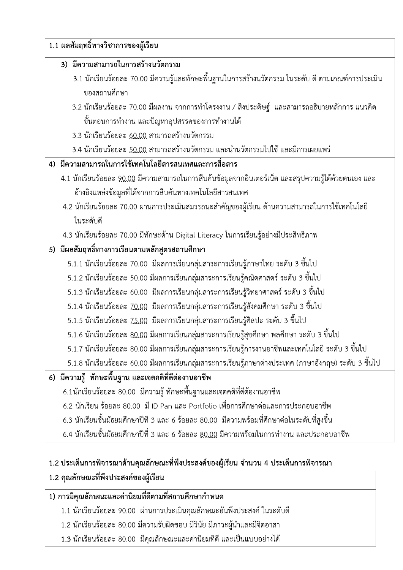| 1.1 ผลสัมฤทธิ์ทางวิชาการของผู้เรียน<br>3) มีความสามารถในการสร้างนวัตกรรม                                     |
|--------------------------------------------------------------------------------------------------------------|
| 3.1 นักเรียนร้อยละ <u>70.00</u> มีความรู้และทักษะพื้นฐานในการสร้างนวัตกรรม ในระดับ ดี ตามเกณฑ์การประเมิน     |
| ของสถานศึกษา                                                                                                 |
| 3.2 นักเรียนร้อยละ <u>70.00</u> มีผลงาน จากการทำโครงงาน / สิงประดิษฐ์ และสามารถอธิบายหลักการ แนวคิด          |
| ์ขั้นตอนการทำงาน และปัญหาอุปสรรคของการทำงานได้                                                               |
| 3.3 นักเรียนร้อยละ 60.00 สามารถสร้างนวัตกรรม                                                                 |
| 3.4 นักเรียนร้อยละ <u>50.00</u> สามารถสร้างนวัตกรรม และนำนวัตกรรมไปใช้ และมีการเผยแพร่                       |
| 4) มีความสามารถในการใช้เทคโนโลยีสารสนเทศและการสื่อสาร                                                        |
| 4.1 นักเรียนร้อยละ <u>90.00</u> มีความสามารถในการสืบค้นข้อมูลจากอินเตอร์เน็ต และสรุปความรู้ได้ด้วยตนเอง และ  |
| อ้างอิงแหล่งข้อมูลที่ได้จากการสืบค้นทางเทคโนโลยีสารสนเทศ                                                     |
| 4.2 นักเรียนร้อยละ 70.00 ผ่านการประเมินสมรรถนะสำคัญของผู้เรียน ด้านความสามารถในการใช้เทคโนโลยี               |
| ในระดับดี                                                                                                    |
| 4.3 นักเรียนร้อยละ 70.00 มีทักษะด้าน Digital Literacy ในการเรียนรู้อย่างมีประสิทธิภาพ                        |
| 5) มีผลสัมฤทธิ์ทางการเรียนตามหลักสูตรสถานศึกษา                                                               |
| 5.1.1 นักเรียนร้อยละ <u>70.00</u> มีผลการเรียนกลุ่มสาระการเรียนรู้ภาษาไทย ระดับ 3 ขึ้นไป                     |
| 5.1.2 นักเรียนร้อยละ <u>50.00</u> มีผลการเรียนกลุ่มสาระการเรียนรู้คณิตศาสตร์ ระดับ 3 ขึ้นไป                  |
| 5.1.3 นักเรียนร้อยละ <u>60.00</u> มีผลการเรียนกลุ่มสาระการเรียนรู้วิทยาศาสตร์ ระดับ 3 ขึ้นไป                 |
| 5.1.4 นักเรียนร้อยละ <u>70.00</u> มีผลการเรียนกลุ่มสาระการเรียนรู้สังคมศึกษา ระดับ 3 ขึ้นไป                  |
| 5.1.5 นักเรียนร้อยละ <u>75.00</u> มีผลการเรียนกลุ่มสาระการเรียนรู้ศิลปะ ระดับ 3 ขึ้นไป                       |
| 5.1.6 นักเรียนร้อยละ <u>80.00</u> มีผลการเรียนกลุ่มสาระการเรียนรู้สุขศึกษา พลศึกษา ระดับ 3 ขึ้นไป            |
| 5.1.7 นักเรียนร้อยละ <u>80.00</u> มีผลการเรียนกลุ่มสาระการเรียนรู้การงานอาชีพและเทคโนโลยี ระดับ 3 ขึ้นไป     |
| 5.1.8 นักเรียนร้อยละ <u>60.00</u> มีผลการเรียนกลุ่มสาระการเรียนรู้ภาษาต่างประเทศ (ภาษาอังกฤษ) ระดับ 3 ขึ้นไป |
| 6) มีความรู้ ทักษะพื้นฐาน และเจตคติที่ดีต่องานอาชีพ                                                          |
| 6.1นักเรียนร้อยละ <u>80.00</u> มีความรู้ ทักษะพื้นฐานและเจตคติที่ดีต้องานอาชีพ                               |
| 6.2 นักเรียน ร้อยละ <u>80.00</u> มี ID Pan และ Portfolio เพื่อการศึกษาต่อและการประกอบอาชีพ                   |
| 6.3 นักเรียนชั้นมัธยมศึกษาปีที่ 3 และ 6 ร้อยละ <u>80.00</u> มีความพร้อมที่ศึกษาต่อในระดับที่สูงขึ้น          |
| 6.4 นักเรียนชั้นมัธยมศึกษาปีที่ 3 และ 6 ร้อยละ <u>80.00</u> มีความพร้อมในการทำงาน และประกอบอาชีพ             |
| 1.2 ประเด็นการพิจารณาด้านคุณลักษณะที่พึงประสงค์ของผู้เรียน จำนวน 4 ประเด็นการพิจารณา                         |
| 1.2 คุณลักษณะที่พึงประสงค์ของผู้เรียน                                                                        |
| 1) การมีคุณลักษณะและค่านิยมที่ดีตามที่สถานศึกษากำหนด                                                         |
| 1.1 นักเรียนร้อยละ 90.00 ผ่านการประเมินคุณลักษณะอันพึงประสงค์ ในระดับดี                                      |
| 1.2 นักเรียนร้อยละ 80.00 มีความรับผิดชอบ มีวินัย มีภาวะผู้นำและมีจิตอาสา                                     |
| 1.3 นักเรียนร้อยละ <u>80.00</u> มีคุณลักษณะและค่านิยมที่ดี และเป็นแบบอย่างได้                                |

## 2 ประเดินการพิจารณาด้านคุณลักษณะทิพิงประสงค์ของผู้เรียน จำนวน 4 ประเดินการพิจารณา

#### 1.2 คุณลักษณะทิพิ่งประสงค์ของผู้เรียน

## 1) การมิคุณลักษณะและค่านิยมทิดิตามทิสเ

- 
- 
-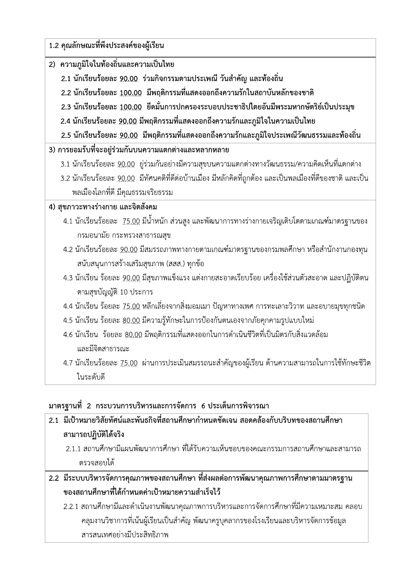| 2) ความภูมิใจในท้องถิ่นและความเป็นไทย                                                                             |
|-------------------------------------------------------------------------------------------------------------------|
| 2.1 นักเรียนร้อยละ <u>90.00</u> ร่วมกิจกรรมตามประเพณี วันสำคัญ และท้องถิ่น                                        |
| 2.2 นักเรียนร้อยละ <u>100.00</u> มีพฤติกรรมที่แสดงออกถึงความรักในสถาบันหลักของชาติ                                |
| 2.3 นักเรียนร้อยละ <u>100.00</u> ยึดมั่นการปกครองระบอบประชาธิปไตยอันมีพระมหากษัตริย์เป็นประมุข                    |
| 2.4 นักเรียนร้อยละ <u>90.00</u> มีพฤติกรรมที่แสดงออกถึงความรักและภูมิใจในความเป็นไทย                              |
| 2.5 นักเรียนร้อยละ <u>90.00</u> มีพฤติกรรมที่แสดงออกถึงความรักและภูมิใจประเพณีวัฒนธรรมและท้องถิ่น                 |
| 3) การยอมรับที่จะอยู่ร่วมกันบนความแตกต่างและหลากหลาย                                                              |
| 3.1 นักเรียนร้อยละ <u>90.00</u> ยู่ร่วมกันอย่างมีความสุขบนความแตกต่างทางวัฒนธรรม/ความคิดเห็นที่แตกต่าง            |
| 3.2 นักเรียนร้อยละ <u>90.00</u> มีทัศนคติที่ดีต่อบ้านเมือง มีหลักคิดที่ถูกต้อง และเป็นพลเมืองที่ดีของชาติ และเป็น |
| พลเมืองโลกที่ดี มีคุณธรรมจริยธรรม                                                                                 |
| 4) สุขภาวะทางร่างกาย และจิตสังคม                                                                                  |
| 4.1 นักเรียนร้อยละ <u>75.00</u> มีน้ำหนัก ส่วนสูง และพัฒนาการทางร่างกายเจริญเติบโตตามเกณฑ์มาตรฐานของ              |
| กรมอนามัย กระทรวงสาธารณสุข                                                                                        |
| 4.2 นักเรียนร้อยละ <u>90.00</u> มีสมรรถภาพทางกายตามเกณฑ์มาตรฐานของกรมพลศึกษา หรือสำนักงานกองทุน                   |
| สนับสนุนการสร้างเสริมสุขภาพ (สสส.) ทุกข้อ                                                                         |
| 4.3 นักเรียน ร้อยละ <u>90.00</u> มีสุขภาพแข็งแรง แต่งกายสะอาดเรียบร้อย เครื่องใช้ส่วนตัวสะอาด และปฏิบัติตน        |
| ตามสุขบัญญัติ 10 ประการ                                                                                           |
| 4.4 นักเรียน ร้อยละ <u>75.00</u> หลีกเลี่ยงจากสิ่งมอมเมา ปัญหาทางเพศ การทะเลาะวิวาท และอบายมุขทุกชนิด             |
| 4.5 นักเรียน ร้อยละ <u>80.00</u> มีความรู้ทักษะในการป้องกันตนเองจากภัยคุกคามรูปแบบใหม่                            |
| 4.6 นักเรียน  ร้อยละ <u>80.00</u> มีพฤติกรรมที่แสดงออกในการดำเนินชีวิตที่เป็นมิตรกับสิ่งแวดล้อม                   |
| และมีจิตสาธารณะ                                                                                                   |
| 4.7 นักเรียนร้อยละ <u>75.00</u> ผ่านการประเมินสมรรถนะสำคัญของผู้เรียน ด้านความสามารถในการใช้ทักษะชีวิต            |
| ในระดับดี                                                                                                         |

#### มาตรฐานที่ 2 กระบวนการบริหารและการจัดการ 6 ประเด็นการพิจารณา

| ่ 2.1  มีเป้าหมายวิสัยทัศน์และพันธกิจที่สถานศึกษากำหนดชัดเจน สอดคล้องกับบริบทของสถานศึกษา |
|-------------------------------------------------------------------------------------------|
| สามารถปฏิบัติได้จริง                                                                      |
| ่ 2.1.1 สถานศึกษามีแผนพัฒนาการศึกษา ที่ได้รับความเห็นชอบของคณะกรรมการสถานศึกษาและสามารถ   |
| ิตรวจสอบได้                                                                               |
| ่ 2.2  มีระบบบริหารจัดการคุณภาพของสถานศึกษา ที่ส่งผลต่อการพัฒนาคุณภาพการศึกษาตามมาตรฐาน   |
| ของสถานศึกษาที่ได้กำหนดค่าเป้าหมายความสำเร็จไว้                                           |

2.2.1 สถานศึกษามีและดำเนินงานพัฒนาคุณภาพการบริหารและการจัดการศึกษาที่มีความเหมาะสม คลอบ คลุมงานวิชาการที่เน้นผู้เรียนเป็นสำคัญ พัฒนาครูบุคลากรของโรงเรียนและบริหารจัดการข้อมูล สารสนเทศอย่างมีประสิทธิภาพ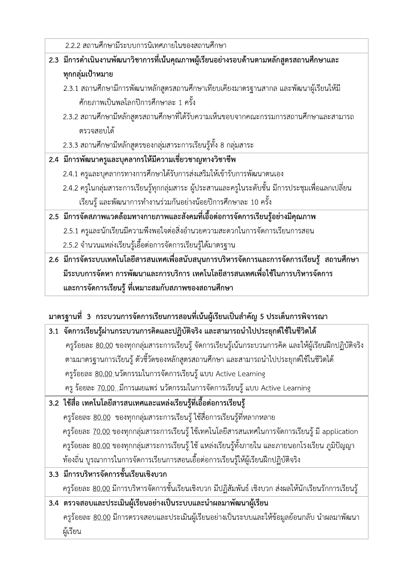| 2.2.2 สถานศึกษามีระบบการนิเทศภายในของสถานศึกษา                                                    |
|---------------------------------------------------------------------------------------------------|
| 2.3 มีการดำเนินงานพัฒนาวิชาการที่เน้นคุณภาพผู้เรียนอย่างรอบด้านตามหลักสูตรสถานศึกษาและ            |
| ทุกกลุ่มเป้าหมาย                                                                                  |
| 2.3.1 สถานศึกษามีการพัฒนาหลักสูตรสถานศึกษาเทียบเคียงมาตรฐานสากล และพัฒนาผู้เรียนให้มี             |
| ์ศักยภาพเป็นพลโลกปีการศึกษาละ 1 ครั้ง                                                             |
| ่ 2.3.2 สถานศึกษามีหลักสูตรสถานศึกษาที่ได้รับความเห็นขอบจากคณะกรรมการสถานศึกษาและสามารถ           |
| ตรวจสอบได้                                                                                        |
| 2.3.3 สถานศึกษามีหลักสูตรของกลุ่มสาระการเรียนรู้ทั้ง 8 กลุ่มสาระ                                  |
| 2.4 มีการพัฒนาครูและบุคลากรให้มีความเชี่ยวชาญทางวิชาชีพ                                           |
| 2.4.1 ครูและบุคลากรทางการศึกษาได้รับการส่งเสริมให้เข้ารับการพัฒนาตนเอง                            |
| 2.4.2 ครูในกลุ่มสาระการเรียนรู้ทุกกลุ่มสาระ ผู้ประสานและครูในระดับชั้น มีการประชุมเพื่อแลกเปลี่ยน |
| เรียนรู้ และพัฒนาการทำงานร่วมกันอย่างน้อยปีการศึกษาละ 10 ครั้ง                                    |
| 2.5 มีการจัดสภาพแวดล้อมทางกายภาพและสังคมที่เอื้อต่อการจัดการเรียนรู้อย่างมีคุณภาพ                 |
| 2.5.1 ครูและนักเรียนมีความพึงพอใจต่อสิ่งอำนวยความสะดวกในการจัดการเรียนการสอน                      |
| 2.5.2 จำนวนแหล่งเรียนรู้เอื้อต่อการจัดการเรียนรู้ได้มาตรฐาน                                       |
| 2.6 มีการจัดระบบเทคโนโลยีสารสนเทศเพื่อสนับสนุนการบริหารจัดการและการจัดการเรียนรู้ สถานศึกษา       |
| มีระบบการจัดหา การพัฒนาและการบริการ เทคโนโลยีสารสนเทศเพื่อใช้ในการบริหารจัดการ                    |
| และการจัดการเรียนรู้ ที่เหมาะสมกับสภาพของสถานศึกษา                                                |

# มาตรฐานที่ 3 กระบวนการจัดการเรียนการสอนที่เน้นผู้เรียนเป็นสำคัญ 5 ประเด็นการพิจารณา

| 3.1 จัดการเรียนรู้ผ่านกระบวนการคิดและปฏิบัติจริง และสามารถนำไปประยุกต์ใช้ในชีวิตได้                           |
|---------------------------------------------------------------------------------------------------------------|
| ครูร้อยละ <u>80.00</u> ของทุกกลุ่มสาระการเรียนรู้ จัดการเรียนรู้เน้นกระบวนการคิด และให้ผู้เรียนฝึกปฏิบัติจริง |
| ตามมาตรฐานการเรียนรู้ ตัวชี้วัดของหลักสูตรสถานศึกษา และสามารถนำไปประยุกต์ใช้ในชีวิตได้                        |
| ครูร้อยละ 80.00 นวัตกรรมในการจัดการเรียนรู้ แบบ Active Learning                                               |
| ครู ร้อยละ 70.00 มีการเผยแพร่ นวัตกรรมในการจัดการเรียนรู้ แบบ Active Learning                                 |
| 3.2 ใช้สื่อ เทคโนโลยีสารสนเทศและแหล่งเรียนรู้ที่เอื้อต่อการเรียนรู้                                           |
| ี ครูร้อยละ <u>80.00</u> ของทุกกลุ่มสาระการเรียนรู้ ใช้สื่อการเรียนรู้ที่หลากหลาย                             |
| ครูร้อยละ 70.00 ของทุกกลุ่มสาระการเรียนรู้ ใช้เทคโนโลยีสารสนเทศในการจัดการเรียนรู้ มี application             |
| ี ครูร้อยละ <u>80.00</u> ของทุกกลุ่มสาระการเรียนรู้ ใช้ แหล่งเรียนรู้ทั้งภายใน และภายนอกโรงเรียน ภูมิปัญญา    |
| ท้องถิ่น บูรณาการในการจัดการเรียนการสอนเอื้อต่อการเรียนรู้ให้ผู้เรียนฝึกปฏิบัติจริง                           |
| 3.3 มีการบริหารจัดการชั้นเรียนเชิงบวก                                                                         |
| ครูร้อยละ <u>80.00</u> มีการบริหารจัดการชั้นเรียนเชิงบวก มีปฏิสัมพันธ์ เชิงบวก ส่งผลให้นักเรียนรักการเรียนรู้ |
| 3.4 ตรวจสอบและประเมินผู้เรียนอย่างเป็นระบบและนำผลมาพัฒนาผู้เรียน                                              |
| ครูร้อยละ <u>80.00</u> มีการตรวจสอบและประเมินผู้เรียนอย่างเป็นระบบและให้ข้อมูลย้อนกลับ นำผลมาพัฒนา            |
| ผู้เรียน                                                                                                      |